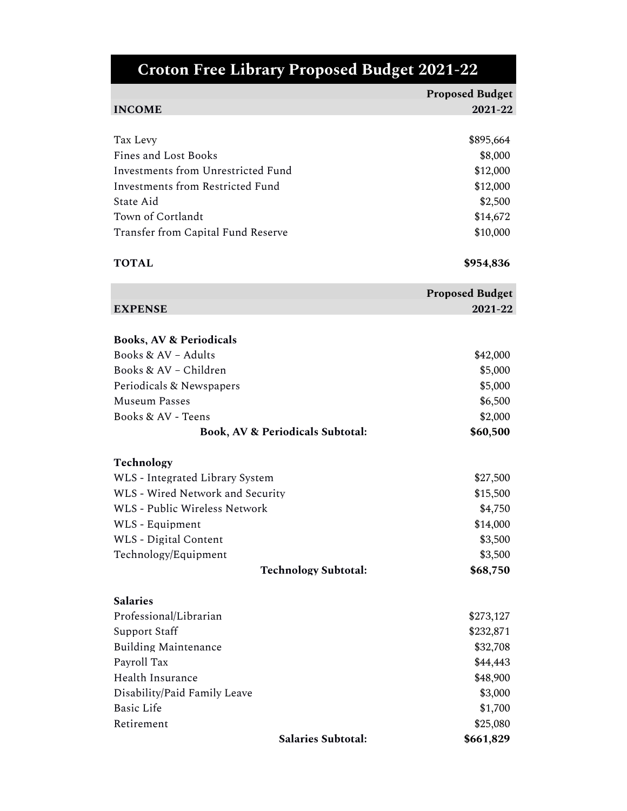| <b>Croton Free Library Proposed Budget 2021-22</b> |                        |
|----------------------------------------------------|------------------------|
|                                                    | <b>Proposed Budget</b> |
| <b>INCOME</b>                                      | 2021-22                |
|                                                    |                        |
| Tax Levy                                           | \$895,664              |
| Fines and Lost Books                               | \$8,000                |
| Investments from Unrestricted Fund                 | \$12,000               |
| <b>Investments from Restricted Fund</b>            | \$12,000               |
| State Aid                                          | \$2,500                |
| Town of Cortlandt                                  | \$14,672               |
| Transfer from Capital Fund Reserve                 | \$10,000               |
|                                                    |                        |
| <b>TOTAL</b>                                       | \$954,836              |
|                                                    | <b>Proposed Budget</b> |
| <b>EXPENSE</b>                                     | 2021-22                |
|                                                    |                        |
| <b>Books, AV &amp; Periodicals</b>                 |                        |
| Books & $AV - Adults$                              | \$42,000               |
| Books & AV - Children                              | \$5,000                |
| Periodicals & Newspapers                           | \$5,000                |
| <b>Museum Passes</b>                               | \$6,500                |
| Books & AV - Teens                                 | \$2,000                |
| <b>Book, AV &amp; Periodicals Subtotal:</b>        | \$60,500               |
| Technology                                         |                        |
| WLS - Integrated Library System                    | \$27,500               |
| WLS - Wired Network and Security                   | \$15,500               |
| WLS - Public Wireless Network                      | \$4,750                |
| WLS - Equipment                                    | \$14,000               |
| <b>WLS</b> - Digital Content                       | \$3,500                |
| Technology/Equipment                               | \$3,500                |
| <b>Technology Subtotal:</b>                        | \$68,750               |
| <b>Salaries</b>                                    |                        |
| Professional/Librarian                             | \$273,127              |
| Support Staff                                      | \$232,871              |
| <b>Building Maintenance</b>                        | \$32,708               |
| Payroll Tax                                        | \$44,443               |
| Health Insurance                                   | \$48,900               |
| Disability/Paid Family Leave                       | \$3,000                |
| <b>Basic Life</b>                                  | \$1,700                |
| Retirement                                         | \$25,080               |
| Salaries Subtotal:                                 | \$661,829              |